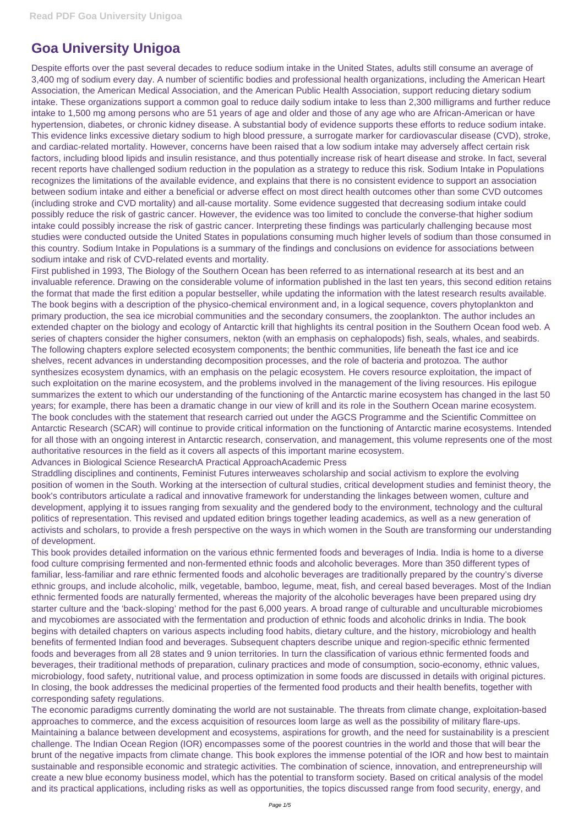## **Goa University Unigoa**

Despite efforts over the past several decades to reduce sodium intake in the United States, adults still consume an average of 3,400 mg of sodium every day. A number of scientific bodies and professional health organizations, including the American Heart Association, the American Medical Association, and the American Public Health Association, support reducing dietary sodium intake. These organizations support a common goal to reduce daily sodium intake to less than 2,300 milligrams and further reduce intake to 1,500 mg among persons who are 51 years of age and older and those of any age who are African-American or have hypertension, diabetes, or chronic kidney disease. A substantial body of evidence supports these efforts to reduce sodium intake. This evidence links excessive dietary sodium to high blood pressure, a surrogate marker for cardiovascular disease (CVD), stroke, and cardiac-related mortality. However, concerns have been raised that a low sodium intake may adversely affect certain risk factors, including blood lipids and insulin resistance, and thus potentially increase risk of heart disease and stroke. In fact, several recent reports have challenged sodium reduction in the population as a strategy to reduce this risk. Sodium Intake in Populations recognizes the limitations of the available evidence, and explains that there is no consistent evidence to support an association between sodium intake and either a beneficial or adverse effect on most direct health outcomes other than some CVD outcomes (including stroke and CVD mortality) and all-cause mortality. Some evidence suggested that decreasing sodium intake could possibly reduce the risk of gastric cancer. However, the evidence was too limited to conclude the converse-that higher sodium intake could possibly increase the risk of gastric cancer. Interpreting these findings was particularly challenging because most studies were conducted outside the United States in populations consuming much higher levels of sodium than those consumed in this country. Sodium Intake in Populations is a summary of the findings and conclusions on evidence for associations between sodium intake and risk of CVD-related events and mortality.

First published in 1993, The Biology of the Southern Ocean has been referred to as international research at its best and an invaluable reference. Drawing on the considerable volume of information published in the last ten years, this second edition retains the format that made the first edition a popular bestseller, while updating the information with the latest research results available. The book begins with a description of the physico-chemical environment and, in a logical sequence, covers phytoplankton and primary production, the sea ice microbial communities and the secondary consumers, the zooplankton. The author includes an extended chapter on the biology and ecology of Antarctic krill that highlights its central position in the Southern Ocean food web. A series of chapters consider the higher consumers, nekton (with an emphasis on cephalopods) fish, seals, whales, and seabirds. The following chapters explore selected ecosystem components; the benthic communities, life beneath the fast ice and ice shelves, recent advances in understanding decomposition processes, and the role of bacteria and protozoa. The author synthesizes ecosystem dynamics, with an emphasis on the pelagic ecosystem. He covers resource exploitation, the impact of such exploitation on the marine ecosystem, and the problems involved in the management of the living resources. His epilogue summarizes the extent to which our understanding of the functioning of the Antarctic marine ecosystem has changed in the last 50 years; for example, there has been a dramatic change in our view of krill and its role in the Southern Ocean marine ecosystem. The book concludes with the statement that research carried out under the AGCS Programme and the Scientific Committee on Antarctic Research (SCAR) will continue to provide critical information on the functioning of Antarctic marine ecosystems. Intended for all those with an ongoing interest in Antarctic research, conservation, and management, this volume represents one of the most authoritative resources in the field as it covers all aspects of this important marine ecosystem.

Advances in Biological Science ResearchA Practical ApproachAcademic Press

Straddling disciplines and continents, Feminist Futures interweaves scholarship and social activism to explore the evolving position of women in the South. Working at the intersection of cultural studies, critical development studies and feminist theory, the book's contributors articulate a radical and innovative framework for understanding the linkages between women, culture and development, applying it to issues ranging from sexuality and the gendered body to the environment, technology and the cultural politics of representation. This revised and updated edition brings together leading academics, as well as a new generation of activists and scholars, to provide a fresh perspective on the ways in which women in the South are transforming our understanding of development.

This book provides detailed information on the various ethnic fermented foods and beverages of India. India is home to a diverse food culture comprising fermented and non-fermented ethnic foods and alcoholic beverages. More than 350 different types of familiar, less-familiar and rare ethnic fermented foods and alcoholic beverages are traditionally prepared by the country's diverse ethnic groups, and include alcoholic, milk, vegetable, bamboo, legume, meat, fish, and cereal based beverages. Most of the Indian ethnic fermented foods are naturally fermented, whereas the majority of the alcoholic beverages have been prepared using dry starter culture and the 'back-sloping' method for the past 6,000 years. A broad range of culturable and unculturable microbiomes and mycobiomes are associated with the fermentation and production of ethnic foods and alcoholic drinks in India. The book begins with detailed chapters on various aspects including food habits, dietary culture, and the history, microbiology and health benefits of fermented Indian food and beverages. Subsequent chapters describe unique and region-specific ethnic fermented foods and beverages from all 28 states and 9 union territories. In turn the classification of various ethnic fermented foods and beverages, their traditional methods of preparation, culinary practices and mode of consumption, socio-economy, ethnic values, microbiology, food safety, nutritional value, and process optimization in some foods are discussed in details with original pictures. In closing, the book addresses the medicinal properties of the fermented food products and their health benefits, together with corresponding safety regulations. The economic paradigms currently dominating the world are not sustainable. The threats from climate change, exploitation-based approaches to commerce, and the excess acquisition of resources loom large as well as the possibility of military flare-ups. Maintaining a balance between development and ecosystems, aspirations for growth, and the need for sustainability is a prescient challenge. The Indian Ocean Region (IOR) encompasses some of the poorest countries in the world and those that will bear the brunt of the negative impacts from climate change. This book explores the immense potential of the IOR and how best to maintain sustainable and responsible economic and strategic activities. The combination of science, innovation, and entrepreneurship will create a new blue economy business model, which has the potential to transform society. Based on critical analysis of the model and its practical applications, including risks as well as opportunities, the topics discussed range from food security, energy, and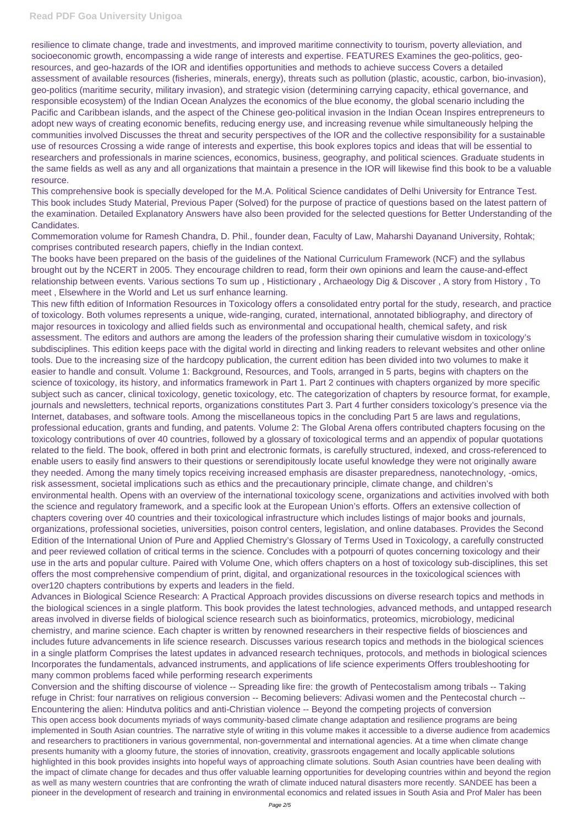resilience to climate change, trade and investments, and improved maritime connectivity to tourism, poverty alleviation, and socioeconomic growth, encompassing a wide range of interests and expertise. FEATURES Examines the geo-politics, georesources, and geo-hazards of the IOR and identifies opportunities and methods to achieve success Covers a detailed assessment of available resources (fisheries, minerals, energy), threats such as pollution (plastic, acoustic, carbon, bio-invasion), geo-politics (maritime security, military invasion), and strategic vision (determining carrying capacity, ethical governance, and responsible ecosystem) of the Indian Ocean Analyzes the economics of the blue economy, the global scenario including the Pacific and Caribbean islands, and the aspect of the Chinese geo-political invasion in the Indian Ocean Inspires entrepreneurs to adopt new ways of creating economic benefits, reducing energy use, and increasing revenue while simultaneously helping the communities involved Discusses the threat and security perspectives of the IOR and the collective responsibility for a sustainable use of resources Crossing a wide range of interests and expertise, this book explores topics and ideas that will be essential to researchers and professionals in marine sciences, economics, business, geography, and political sciences. Graduate students in the same fields as well as any and all organizations that maintain a presence in the IOR will likewise find this book to be a valuable resource.

This comprehensive book is specially developed for the M.A. Political Science candidates of Delhi University for Entrance Test. This book includes Study Material, Previous Paper (Solved) for the purpose of practice of questions based on the latest pattern of the examination. Detailed Explanatory Answers have also been provided for the selected questions for Better Understanding of the Candidates.

Commemoration volume for Ramesh Chandra, D. Phil., founder dean, Faculty of Law, Maharshi Dayanand University, Rohtak; comprises contributed research papers, chiefly in the Indian context.

The books have been prepared on the basis of the guidelines of the National Curriculum Framework (NCF) and the syllabus brought out by the NCERT in 2005. They encourage children to read, form their own opinions and learn the cause-and-effect relationship between events. Various sections To sum up , Histictionary , Archaeology Dig & Discover , A story from History , To meet , Elsewhere in the World and Let us surf enhance learning.

This new fifth edition of Information Resources in Toxicology offers a consolidated entry portal for the study, research, and practice of toxicology. Both volumes represents a unique, wide-ranging, curated, international, annotated bibliography, and directory of major resources in toxicology and allied fields such as environmental and occupational health, chemical safety, and risk assessment. The editors and authors are among the leaders of the profession sharing their cumulative wisdom in toxicology's subdisciplines. This edition keeps pace with the digital world in directing and linking readers to relevant websites and other online tools. Due to the increasing size of the hardcopy publication, the current edition has been divided into two volumes to make it easier to handle and consult. Volume 1: Background, Resources, and Tools, arranged in 5 parts, begins with chapters on the science of toxicology, its history, and informatics framework in Part 1. Part 2 continues with chapters organized by more specific subject such as cancer, clinical toxicology, genetic toxicology, etc. The categorization of chapters by resource format, for example, journals and newsletters, technical reports, organizations constitutes Part 3. Part 4 further considers toxicology's presence via the Internet, databases, and software tools. Among the miscellaneous topics in the concluding Part 5 are laws and regulations, professional education, grants and funding, and patents. Volume 2: The Global Arena offers contributed chapters focusing on the toxicology contributions of over 40 countries, followed by a glossary of toxicological terms and an appendix of popular quotations related to the field. The book, offered in both print and electronic formats, is carefully structured, indexed, and cross-referenced to enable users to easily find answers to their questions or serendipitously locate useful knowledge they were not originally aware they needed. Among the many timely topics receiving increased emphasis are disaster preparedness, nanotechnology, -omics, risk assessment, societal implications such as ethics and the precautionary principle, climate change, and children's environmental health. Opens with an overview of the international toxicology scene, organizations and activities involved with both the science and regulatory framework, and a specific look at the European Union's efforts. Offers an extensive collection of chapters covering over 40 countries and their toxicological infrastructure which includes listings of major books and journals, organizations, professional societies, universities, poison control centers, legislation, and online databases. Provides the Second Edition of the International Union of Pure and Applied Chemistry's Glossary of Terms Used in Toxicology, a carefully constructed and peer reviewed collation of critical terms in the science. Concludes with a potpourri of quotes concerning toxicology and their use in the arts and popular culture. Paired with Volume One, which offers chapters on a host of toxicology sub-disciplines, this set offers the most comprehensive compendium of print, digital, and organizational resources in the toxicological sciences with over120 chapters contributions by experts and leaders in the field.

Advances in Biological Science Research: A Practical Approach provides discussions on diverse research topics and methods in the biological sciences in a single platform. This book provides the latest technologies, advanced methods, and untapped research areas involved in diverse fields of biological science research such as bioinformatics, proteomics, microbiology, medicinal chemistry, and marine science. Each chapter is written by renowned researchers in their respective fields of biosciences and includes future advancements in life science research. Discusses various research topics and methods in the biological sciences in a single platform Comprises the latest updates in advanced research techniques, protocols, and methods in biological sciences Incorporates the fundamentals, advanced instruments, and applications of life science experiments Offers troubleshooting for many common problems faced while performing research experiments Conversion and the shifting discourse of violence -- Spreading like fire: the growth of Pentecostalism among tribals -- Taking refuge in Christ: four narratives on religious conversion -- Becoming believers: Adivasi women and the Pentecostal church -- Encountering the alien: Hindutva politics and anti-Christian violence -- Beyond the competing projects of conversion This open access book documents myriads of ways community-based climate change adaptation and resilience programs are being implemented in South Asian countries. The narrative style of writing in this volume makes it accessible to a diverse audience from academics and researchers to practitioners in various governmental, non-governmental and international agencies. At a time when climate change presents humanity with a gloomy future, the stories of innovation, creativity, grassroots engagement and locally applicable solutions highlighted in this book provides insights into hopeful ways of approaching climate solutions. South Asian countries have been dealing with the impact of climate change for decades and thus offer valuable learning opportunities for developing countries within and beyond the region as well as many western countries that are confronting the wrath of climate induced natural disasters more recently. SANDEE has been a pioneer in the development of research and training in environmental economics and related issues in South Asia and Prof Maler has been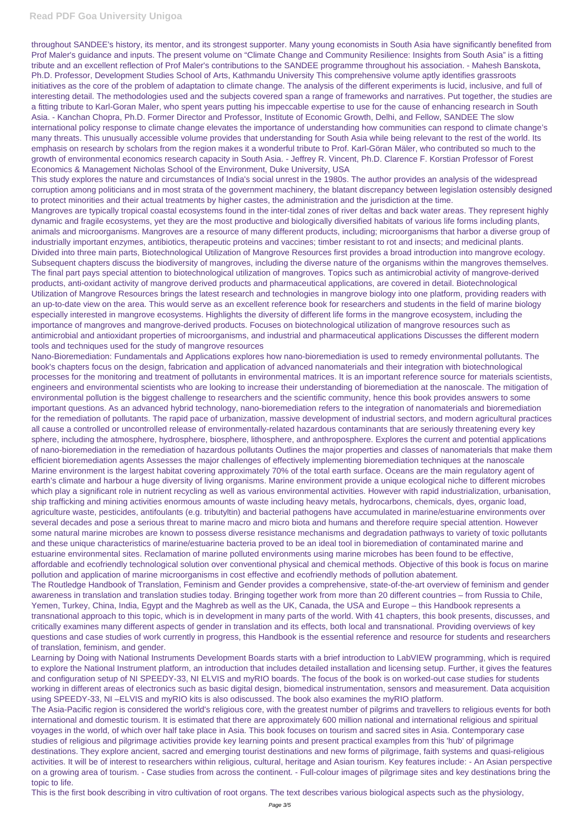throughout SANDEE's history, its mentor, and its strongest supporter. Many young economists in South Asia have significantly benefited from Prof Maler's guidance and inputs. The present volume on "Climate Change and Community Resilience: Insights from South Asia" is a fitting tribute and an excellent reflection of Prof Maler's contributions to the SANDEE programme throughout his association. - Mahesh Banskota, Ph.D. Professor, Development Studies School of Arts, Kathmandu University This comprehensive volume aptly identifies grassroots initiatives as the core of the problem of adaptation to climate change. The analysis of the different experiments is lucid, inclusive, and full of interesting detail. The methodologies used and the subjects covered span a range of frameworks and narratives. Put together, the studies are a fitting tribute to Karl-Goran Maler, who spent years putting his impeccable expertise to use for the cause of enhancing research in South Asia. - Kanchan Chopra, Ph.D. Former Director and Professor, Institute of Economic Growth, Delhi, and Fellow, SANDEE The slow international policy response to climate change elevates the importance of understanding how communities can respond to climate change's many threats. This unusually accessible volume provides that understanding for South Asia while being relevant to the rest of the world. Its emphasis on research by scholars from the region makes it a wonderful tribute to Prof. Karl-Göran Mäler, who contributed so much to the growth of environmental economics research capacity in South Asia. - Jeffrey R. Vincent, Ph.D. Clarence F. Korstian Professor of Forest Economics & Management Nicholas School of the Environment, Duke University, USA

This study explores the nature and circumstances of India's social unrest in the 1980s. The author provides an analysis of the widespread corruption among politicians and in most strata of the government machinery, the blatant discrepancy between legislation ostensibly designed to protect minorities and their actual treatments by higher castes, the administration and the jurisdiction at the time.

Mangroves are typically tropical coastal ecosystems found in the inter-tidal zones of river deltas and back water areas. They represent highly dynamic and fragile ecosystems, yet they are the most productive and biologically diversified habitats of various life forms including plants, animals and microorganisms. Mangroves are a resource of many different products, including; microorganisms that harbor a diverse group of industrially important enzymes, antibiotics, therapeutic proteins and vaccines; timber resistant to rot and insects; and medicinal plants. Divided into three main parts, Biotechnological Utilization of Mangrove Resources first provides a broad introduction into mangrove ecology. Subsequent chapters discuss the biodiversity of mangroves, including the diverse nature of the organisms within the mangroves themselves. The final part pays special attention to biotechnological utilization of mangroves. Topics such as antimicrobial activity of mangrove-derived products, anti-oxidant activity of mangrove derived products and pharmaceutical applications, are covered in detail. Biotechnological Utilization of Mangrove Resources brings the latest research and technologies in mangrove biology into one platform, providing readers with an up-to-date view on the area. This would serve as an excellent reference book for researchers and students in the field of marine biology especially interested in mangrove ecosystems. Highlights the diversity of different life forms in the mangrove ecosystem, including the importance of mangroves and mangrove-derived products. Focuses on biotechnological utilization of mangrove resources such as antimicrobial and antioxidant properties of microorganisms, and industrial and pharmaceutical applications Discusses the different modern tools and techniques used for the study of mangrove resources

Nano-Bioremediation: Fundamentals and Applications explores how nano-bioremediation is used to remedy environmental pollutants. The book's chapters focus on the design, fabrication and application of advanced nanomaterials and their integration with biotechnological processes for the monitoring and treatment of pollutants in environmental matrices. It is an important reference source for materials scientists, engineers and environmental scientists who are looking to increase their understanding of bioremediation at the nanoscale. The mitigation of environmental pollution is the biggest challenge to researchers and the scientific community, hence this book provides answers to some important questions. As an advanced hybrid technology, nano-bioremediation refers to the integration of nanomaterials and bioremediation for the remediation of pollutants. The rapid pace of urbanization, massive development of industrial sectors, and modern agricultural practices all cause a controlled or uncontrolled release of environmentally-related hazardous contaminants that are seriously threatening every key sphere, including the atmosphere, hydrosphere, biosphere, lithosphere, and anthroposphere. Explores the current and potential applications of nano-bioremediation in the remediation of hazardous pollutants Outlines the major properties and classes of nanomaterials that make them efficient bioremediation agents Assesses the major challenges of effectively implementing bioremediation techniques at the nanoscale Marine environment is the largest habitat covering approximately 70% of the total earth surface. Oceans are the main regulatory agent of earth's climate and harbour a huge diversity of living organisms. Marine environment provide a unique ecological niche to different microbes which play a significant role in nutrient recycling as well as various environmental activities. However with rapid industrialization, urbanisation, ship trafficking and mining activities enormous amounts of waste including heavy metals, hydrocarbons, chemicals, dyes, organic load, agriculture waste, pesticides, antifoulants (e.g. tributyltin) and bacterial pathogens have accumulated in marine/estuarine environments over several decades and pose a serious threat to marine macro and micro biota and humans and therefore require special attention. However some natural marine microbes are known to possess diverse resistance mechanisms and degradation pathways to variety of toxic pollutants and these unique characteristics of marine/estuarine bacteria proved to be an ideal tool in bioremediation of contaminated marine and estuarine environmental sites. Reclamation of marine polluted environments using marine microbes has been found to be effective, affordable and ecofriendly technological solution over conventional physical and chemical methods. Objective of this book is focus on marine pollution and application of marine microorganisms in cost effective and ecofriendly methods of pollution abatement. The Routledge Handbook of Translation, Feminism and Gender provides a comprehensive, state-of-the-art overview of feminism and gender awareness in translation and translation studies today. Bringing together work from more than 20 different countries – from Russia to Chile, Yemen, Turkey, China, India, Egypt and the Maghreb as well as the UK, Canada, the USA and Europe – this Handbook represents a transnational approach to this topic, which is in development in many parts of the world. With 41 chapters, this book presents, discusses, and

critically examines many different aspects of gender in translation and its effects, both local and transnational. Providing overviews of key questions and case studies of work currently in progress, this Handbook is the essential reference and resource for students and researchers of translation, feminism, and gender.

Learning by Doing with National Instruments Development Boards starts with a brief introduction to LabVIEW programming, which is required to explore the National Instrument platform, an introduction that includes detailed installation and licensing setup. Further, it gives the features and configuration setup of NI SPEEDY-33, NI ELVIS and myRIO boards. The focus of the book is on worked-out case studies for students working in different areas of electronics such as basic digital design, biomedical instrumentation, sensors and measurement. Data acquisition using SPEEDY-33, NI –ELVIS and myRIO kits is also odiscussed. The book also examines the myRIO platform. The Asia-Pacific region is considered the world's religious core, with the greatest number of pilgrims and travellers to religious events for both international and domestic tourism. It is estimated that there are approximately 600 million national and international religious and spiritual

voyages in the world, of which over half take place in Asia. This book focuses on tourism and sacred sites in Asia. Contemporary case studies of religious and pilgrimage activities provide key learning points and present practical examples from this 'hub' of pilgrimage destinations. They explore ancient, sacred and emerging tourist destinations and new forms of pilgrimage, faith systems and quasi-religious activities. It will be of interest to researchers within religious, cultural, heritage and Asian tourism. Key features include: - An Asian perspective on a growing area of tourism. - Case studies from across the continent. - Full-colour images of pilgrimage sites and key destinations bring the topic to life.

This is the first book describing in vitro cultivation of root organs. The text describes various biological aspects such as the physiology,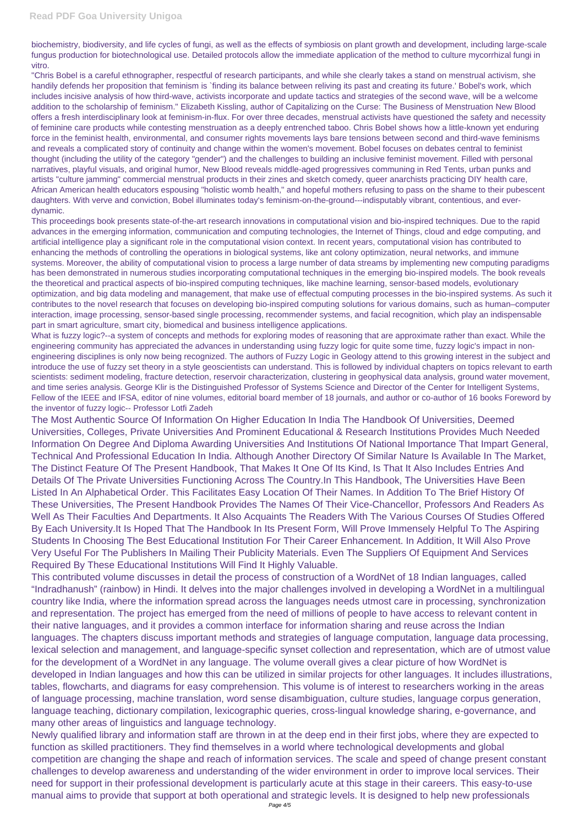biochemistry, biodiversity, and life cycles of fungi, as well as the effects of symbiosis on plant growth and development, including large-scale fungus production for biotechnological use. Detailed protocols allow the immediate application of the method to culture mycorrhizal fungi in vitro.

"Chris Bobel is a careful ethnographer, respectful of research participants, and while she clearly takes a stand on menstrual activism, she handily defends her proposition that feminism is `finding its balance between reliving its past and creating its future.' Bobel's work, which includes incisive analysis of how third-wave, activists incorporate and update tactics and strategies of the second wave, will be a welcome addition to the scholarship of feminism." Elizabeth Kissling, author of Capitalizing on the Curse: The Business of Menstruation New Blood offers a fresh interdisciplinary look at feminism-in-flux. For over three decades, menstrual activists have questioned the safety and necessity of feminine care products while contesting menstruation as a deeply entrenched taboo. Chris Bobel shows how a little-known yet enduring force in the feminist health, environmental, and consumer rights movements lays bare tensions between second and third-wave feminisms and reveals a complicated story of continuity and change within the women's movement. Bobel focuses on debates central to feminist thought (including the utility of the category "gender") and the challenges to building an inclusive feminist movement. Filled with personal narratives, playful visuals, and original humor, New Blood reveals middle-aged progressives communing in Red Tents, urban punks and artists "culture jamming" commercial menstrual products in their zines and sketch comedy, queer anarchists practicing DIY health care, African American health educators espousing "holistic womb health," and hopeful mothers refusing to pass on the shame to their pubescent daughters. With verve and conviction, Bobel illuminates today's feminism-on-the-ground---indisputably vibrant, contentious, and everdynamic.

This proceedings book presents state-of-the-art research innovations in computational vision and bio-inspired techniques. Due to the rapid advances in the emerging information, communication and computing technologies, the Internet of Things, cloud and edge computing, and artificial intelligence play a significant role in the computational vision context. In recent years, computational vision has contributed to enhancing the methods of controlling the operations in biological systems, like ant colony optimization, neural networks, and immune systems. Moreover, the ability of computational vision to process a large number of data streams by implementing new computing paradigms has been demonstrated in numerous studies incorporating computational techniques in the emerging bio-inspired models. The book reveals the theoretical and practical aspects of bio-inspired computing techniques, like machine learning, sensor-based models, evolutionary optimization, and big data modeling and management, that make use of effectual computing processes in the bio-inspired systems. As such it contributes to the novel research that focuses on developing bio-inspired computing solutions for various domains, such as human–computer interaction, image processing, sensor-based single processing, recommender systems, and facial recognition, which play an indispensable part in smart agriculture, smart city, biomedical and business intelligence applications.

What is fuzzy logic?--a system of concepts and methods for exploring modes of reasoning that are approximate rather than exact. While the engineering community has appreciated the advances in understanding using fuzzy logic for quite some time, fuzzy logic's impact in nonengineering disciplines is only now being recognized. The authors of Fuzzy Logic in Geology attend to this growing interest in the subject and introduce the use of fuzzy set theory in a style geoscientists can understand. This is followed by individual chapters on topics relevant to earth scientists: sediment modeling, fracture detection, reservoir characterization, clustering in geophysical data analysis, ground water movement, and time series analysis. George Klir is the Distinguished Professor of Systems Science and Director of the Center for Intelligent Systems, Fellow of the IEEE and IFSA, editor of nine volumes, editorial board member of 18 journals, and author or co-author of 16 books Foreword by the inventor of fuzzy logic-- Professor Lotfi Zadeh

The Most Authentic Source Of Information On Higher Education In India The Handbook Of Universities, Deemed Universities, Colleges, Private Universities And Prominent Educational & Research Institutions Provides Much Needed Information On Degree And Diploma Awarding Universities And Institutions Of National Importance That Impart General, Technical And Professional Education In India. Although Another Directory Of Similar Nature Is Available In The Market, The Distinct Feature Of The Present Handbook, That Makes It One Of Its Kind, Is That It Also Includes Entries And Details Of The Private Universities Functioning Across The Country.In This Handbook, The Universities Have Been Listed In An Alphabetical Order. This Facilitates Easy Location Of Their Names. In Addition To The Brief History Of These Universities, The Present Handbook Provides The Names Of Their Vice-Chancellor, Professors And Readers As Well As Their Faculties And Departments. It Also Acquaints The Readers With The Various Courses Of Studies Offered By Each University.It Is Hoped That The Handbook In Its Present Form, Will Prove Immensely Helpful To The Aspiring Students In Choosing The Best Educational Institution For Their Career Enhancement. In Addition, It Will Also Prove Very Useful For The Publishers In Mailing Their Publicity Materials. Even The Suppliers Of Equipment And Services Required By These Educational Institutions Will Find It Highly Valuable.

This contributed volume discusses in detail the process of construction of a WordNet of 18 Indian languages, called "Indradhanush" (rainbow) in Hindi. It delves into the major challenges involved in developing a WordNet in a multilingual country like India, where the information spread across the languages needs utmost care in processing, synchronization and representation. The project has emerged from the need of millions of people to have access to relevant content in their native languages, and it provides a common interface for information sharing and reuse across the Indian languages. The chapters discuss important methods and strategies of language computation, language data processing, lexical selection and management, and language-specific synset collection and representation, which are of utmost value for the development of a WordNet in any language. The volume overall gives a clear picture of how WordNet is developed in Indian languages and how this can be utilized in similar projects for other languages. It includes illustrations, tables, flowcharts, and diagrams for easy comprehension. This volume is of interest to researchers working in the areas of language processing, machine translation, word sense disambiguation, culture studies, language corpus generation, language teaching, dictionary compilation, lexicographic queries, cross-lingual knowledge sharing, e-governance, and many other areas of linguistics and language technology. Newly qualified library and information staff are thrown in at the deep end in their first jobs, where they are expected to function as skilled practitioners. They find themselves in a world where technological developments and global competition are changing the shape and reach of information services. The scale and speed of change present constant challenges to develop awareness and understanding of the wider environment in order to improve local services. Their need for support in their professional development is particularly acute at this stage in their careers. This easy-to-use manual aims to provide that support at both operational and strategic levels. It is designed to help new professionals Page 4/5